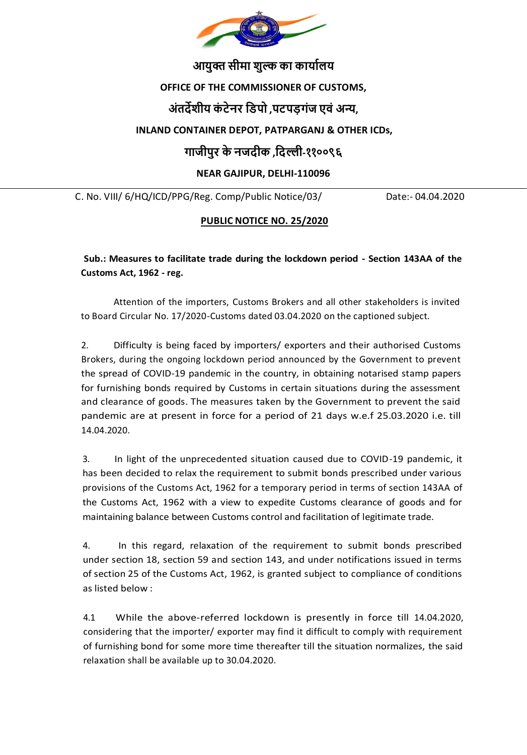

# **आयुक्त सीमा शुल्क का कायाालय**

### **OFFICE OF THE COMMISSIONER OF CUSTOMS,**

## **अंतर्देशीय कं टेनर डिपो ,पटपड़गंज एवं अन्य,**

### **INLAND CONTAINER DEPOT, PATPARGANJ & OTHER ICDs,**

## **गाजीपुर केनजर्दीक ,डर्दल्ली-११००९६**

### **NEAR GAJIPUR, DELHI-110096**

C. No. VIII/ 6/HQ/ICD/PPG/Reg. Comp/Public Notice/03/ Date:- 04.04.2020

#### **PUBLIC NOTICE NO. 25/2020**

**Sub.: Measures to facilitate trade during the lockdown period - Section 143AA of the Customs Act, 1962 - reg.**

Attention of the importers, Customs Brokers and all other stakeholders is invited to Board Circular No. 17/2020-Customs dated 03.04.2020 on the captioned subject.

2. Difficulty is being faced by importers/ exporters and their authorised Customs Brokers, during the ongoing lockdown period announced by the Government to prevent the spread of COVID-19 pandemic in the country, in obtaining notarised stamp papers for furnishing bonds required by Customs in certain situations during the assessment and clearance of goods. The measures taken by the Government to prevent the said pandemic are at present in force for a period of 21 days w.e.f 25.03.2020 i.e. till 14.04.2020.

3. In light of the unprecedented situation caused due to COVID-19 pandemic, it has been decided to relax the requirement to submit bonds prescribed under various provisions of the Customs Act, 1962 for a temporary period in terms of section 143AA of the Customs Act, 1962 with a view to expedite Customs clearance of goods and for maintaining balance between Customs control and facilitation of legitimate trade.

4. In this regard, relaxation of the requirement to submit bonds prescribed under section 18, section 59 and section 143, and under notifications issued in terms of section 25 of the Customs Act, 1962, is granted subject to compliance of conditions as listed below :

4.1 While the above-referred lockdown is presently in force till 14.04.2020, considering that the importer/ exporter may find it difficult to comply with requirement of furnishing bond for some more time thereafter till the situation normalizes, the said relaxation shall be available up to 30.04.2020.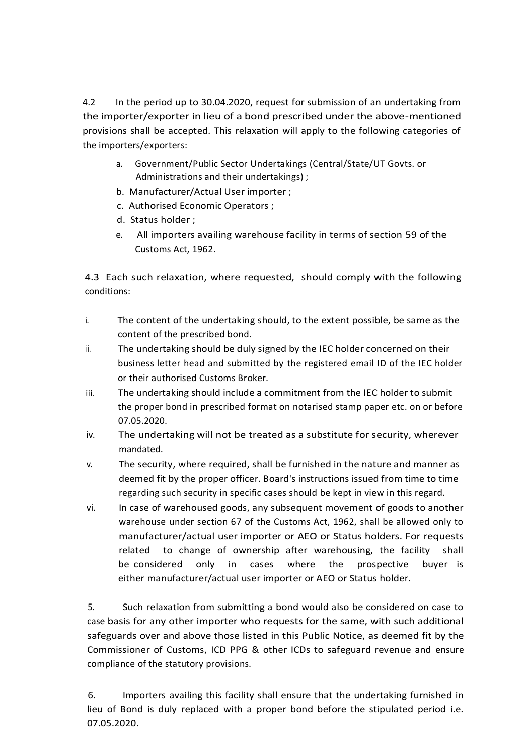4.2 In the period up to 30.04.2020, request for submission of an undertaking from the importer/exporter in lieu of a bond prescribed under the above-mentioned provisions shall be accepted. This relaxation will apply to the following categories of the importers/exporters:

- a. Government/Public Sector Undertakings (Central/State/UT Govts. or Administrations and their undertakings) ;
- b. Manufacturer/Actual User importer ;
- c. Authorised Economic Operators ;
- d. Status holder ;
- e. All importers availing warehouse facility in terms of section 59 of the Customs Act, 1962.

4.3 Each such relaxation, where requested, should comply with the following conditions:

- i. The content of the undertaking should, to the extent possible, be same as the content of the prescribed bond.
- $ii.$  The undertaking should be duly signed by the IEC holder concerned on their business letter head and submitted by the registered email ID of the IEC holder or their authorised Customs Broker.
- iii. The undertaking should include a commitment from the IEC holder to submit the proper bond in prescribed format on notarised stamp paper etc. on or before 07.05.2020.
- iv. The undertaking will not be treated as a substitute for security, wherever mandated.
- v. The security, where required, shall be furnished in the nature and manner as deemed fit by the proper officer. Board's instructions issued from time to time regarding such security in specific cases should be kept in view in this regard.
- vi. In case of warehoused goods, any subsequent movement of goods to another warehouse under section 67 of the Customs Act, 1962, shall be allowed only to manufacturer/actual user importer or AEO or Status holders. For requests related to change of ownership after warehousing, the facility shall be considered only in cases where the prospective buyer is either manufacturer/actual user importer or AEO or Status holder.

5. Such relaxation from submitting a bond would also be considered on case to case basis for any other importer who requests for the same, with such additional safeguards over and above those listed in this Public Notice, as deemed fit by the Commissioner of Customs, ICD PPG & other ICDs to safeguard revenue and ensure compliance of the statutory provisions.

6. Importers availing this facility shall ensure that the undertaking furnished in lieu of Bond is duly replaced with a proper bond before the stipulated period i.e. 07.05.2020.